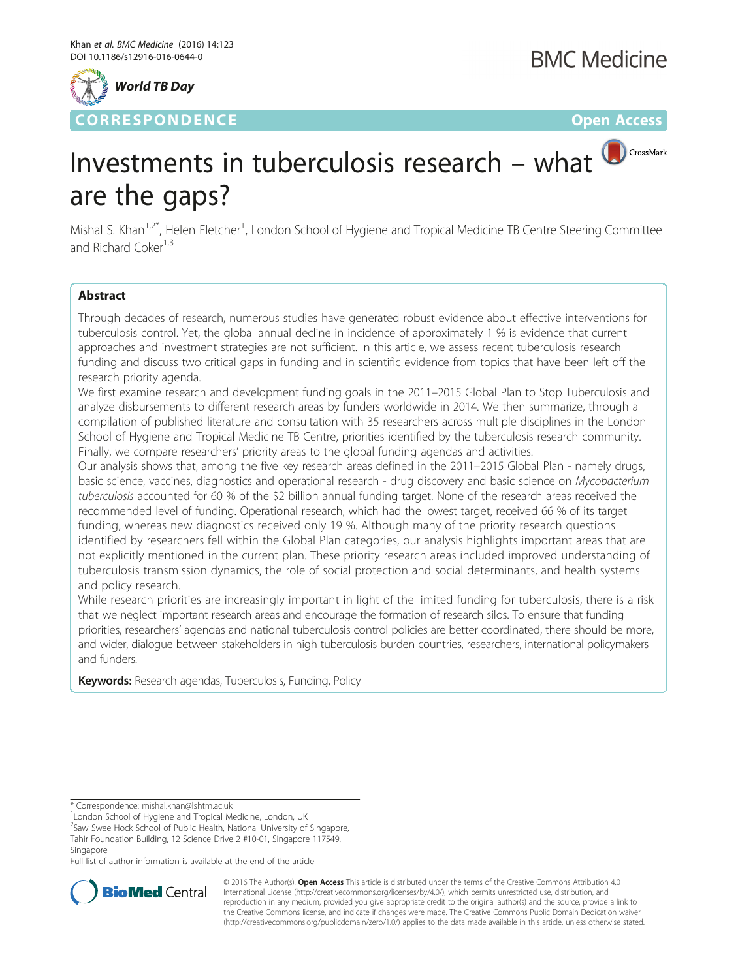

# **CORRESPONDENCE CONDUCTER EXECUTIVE EXECUTIVE EXECUTIVE EXECUTIVE EXECUTIVE EXECUTIVE EXECUTIVE EXECUTIVE EXECUTIVE**

# Investments in tuberculosis research – what CrossMark are the gaps?

Mishal S. Khan<sup>1,2\*</sup>, Helen Fletcher<sup>1</sup>, London School of Hygiene and Tropical Medicine TB Centre Steering Committee and Richard Coker<sup>1,3</sup>

## Abstract

Through decades of research, numerous studies have generated robust evidence about effective interventions for tuberculosis control. Yet, the global annual decline in incidence of approximately 1 % is evidence that current approaches and investment strategies are not sufficient. In this article, we assess recent tuberculosis research funding and discuss two critical gaps in funding and in scientific evidence from topics that have been left off the research priority agenda.

We first examine research and development funding goals in the 2011–2015 Global Plan to Stop Tuberculosis and analyze disbursements to different research areas by funders worldwide in 2014. We then summarize, through a compilation of published literature and consultation with 35 researchers across multiple disciplines in the London School of Hygiene and Tropical Medicine TB Centre, priorities identified by the tuberculosis research community. Finally, we compare researchers' priority areas to the global funding agendas and activities.

Our analysis shows that, among the five key research areas defined in the 2011–2015 Global Plan - namely drugs, basic science, vaccines, diagnostics and operational research - drug discovery and basic science on Mycobacterium tuberculosis accounted for 60 % of the \$2 billion annual funding target. None of the research areas received the recommended level of funding. Operational research, which had the lowest target, received 66 % of its target funding, whereas new diagnostics received only 19 %. Although many of the priority research questions identified by researchers fell within the Global Plan categories, our analysis highlights important areas that are not explicitly mentioned in the current plan. These priority research areas included improved understanding of tuberculosis transmission dynamics, the role of social protection and social determinants, and health systems and policy research.

While research priorities are increasingly important in light of the limited funding for tuberculosis, there is a risk that we neglect important research areas and encourage the formation of research silos. To ensure that funding priorities, researchers' agendas and national tuberculosis control policies are better coordinated, there should be more, and wider, dialogue between stakeholders in high tuberculosis burden countries, researchers, international policymakers and funders.

Keywords: Research agendas, Tuberculosis, Funding, Policy

<sup>1</sup> London School of Hygiene and Tropical Medicine, London, UK

Full list of author information is available at the end of the article



© 2016 The Author(s). Open Access This article is distributed under the terms of the Creative Commons Attribution 4.0 International License [\(http://creativecommons.org/licenses/by/4.0/](http://creativecommons.org/licenses/by/4.0/)), which permits unrestricted use, distribution, and reproduction in any medium, provided you give appropriate credit to the original author(s) and the source, provide a link to the Creative Commons license, and indicate if changes were made. The Creative Commons Public Domain Dedication waiver [\(http://creativecommons.org/publicdomain/zero/1.0/](http://creativecommons.org/publicdomain/zero/1.0/)) applies to the data made available in this article, unless otherwise stated.

<sup>\*</sup> Correspondence: [mishal.khan@lshtm.ac.uk](mailto:mishal.khan@lshtm.ac.uk) <sup>1</sup>

<sup>&</sup>lt;sup>2</sup>Saw Swee Hock School of Public Health, National University of Singapore, Tahir Foundation Building, 12 Science Drive 2 #10-01, Singapore 117549, Singapore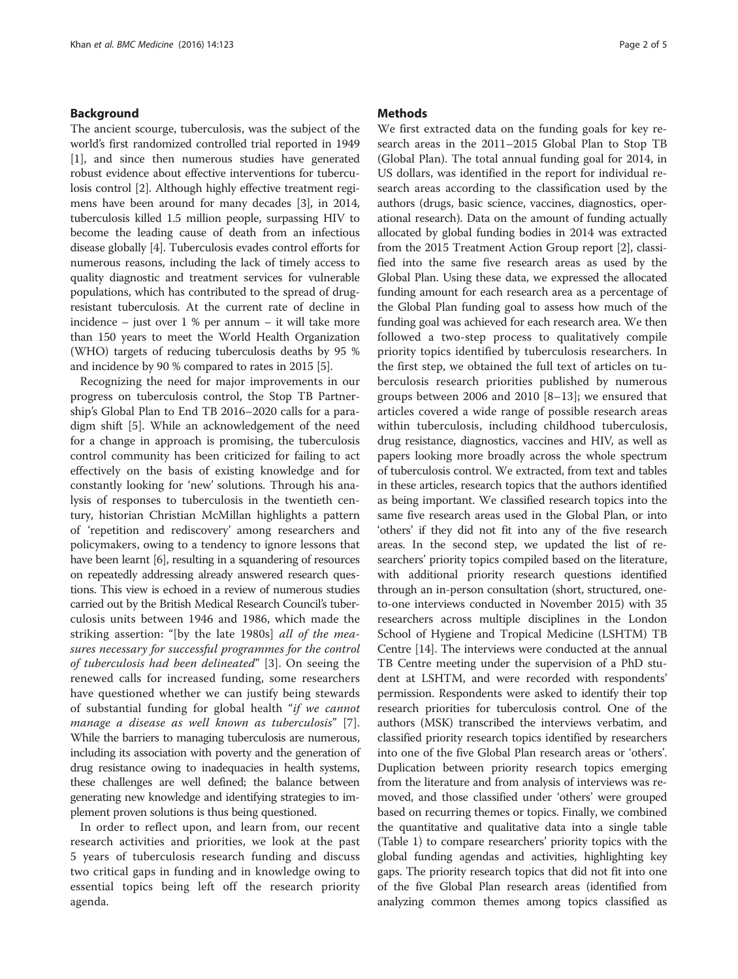## Background

The ancient scourge, tuberculosis, was the subject of the world's first randomized controlled trial reported in 1949 [[1\]](#page-4-0), and since then numerous studies have generated robust evidence about effective interventions for tuberculosis control [\[2](#page-4-0)]. Although highly effective treatment regimens have been around for many decades [[3](#page-4-0)], in 2014, tuberculosis killed 1.5 million people, surpassing HIV to become the leading cause of death from an infectious disease globally [[4\]](#page-4-0). Tuberculosis evades control efforts for numerous reasons, including the lack of timely access to quality diagnostic and treatment services for vulnerable populations, which has contributed to the spread of drugresistant tuberculosis. At the current rate of decline in incidence – just over 1 % per annum – it will take more than 150 years to meet the World Health Organization (WHO) targets of reducing tuberculosis deaths by 95 % and incidence by 90 % compared to rates in 2015 [[5\]](#page-4-0).

Recognizing the need for major improvements in our progress on tuberculosis control, the Stop TB Partnership's Global Plan to End TB 2016–2020 calls for a paradigm shift [[5\]](#page-4-0). While an acknowledgement of the need for a change in approach is promising, the tuberculosis control community has been criticized for failing to act effectively on the basis of existing knowledge and for constantly looking for 'new' solutions. Through his analysis of responses to tuberculosis in the twentieth century, historian Christian McMillan highlights a pattern of 'repetition and rediscovery' among researchers and policymakers, owing to a tendency to ignore lessons that have been learnt [\[6](#page-4-0)], resulting in a squandering of resources on repeatedly addressing already answered research questions. This view is echoed in a review of numerous studies carried out by the British Medical Research Council's tuberculosis units between 1946 and 1986, which made the striking assertion: "[by the late 1980s] all of the measures necessary for successful programmes for the control of tuberculosis had been delineated" [[3\]](#page-4-0). On seeing the renewed calls for increased funding, some researchers have questioned whether we can justify being stewards of substantial funding for global health "if we cannot manage a disease as well known as tuberculosis" [\[7](#page-4-0)]. While the barriers to managing tuberculosis are numerous, including its association with poverty and the generation of drug resistance owing to inadequacies in health systems, these challenges are well defined; the balance between generating new knowledge and identifying strategies to implement proven solutions is thus being questioned.

In order to reflect upon, and learn from, our recent research activities and priorities, we look at the past 5 years of tuberculosis research funding and discuss two critical gaps in funding and in knowledge owing to essential topics being left off the research priority agenda.

## **Methods**

We first extracted data on the funding goals for key research areas in the 2011–2015 Global Plan to Stop TB (Global Plan). The total annual funding goal for 2014, in US dollars, was identified in the report for individual research areas according to the classification used by the authors (drugs, basic science, vaccines, diagnostics, operational research). Data on the amount of funding actually allocated by global funding bodies in 2014 was extracted from the 2015 Treatment Action Group report [\[2\]](#page-4-0), classified into the same five research areas as used by the Global Plan. Using these data, we expressed the allocated funding amount for each research area as a percentage of the Global Plan funding goal to assess how much of the funding goal was achieved for each research area. We then followed a two-step process to qualitatively compile priority topics identified by tuberculosis researchers. In the first step, we obtained the full text of articles on tuberculosis research priorities published by numerous groups between 2006 and 2010 [[8](#page-4-0)–[13\]](#page-4-0); we ensured that articles covered a wide range of possible research areas within tuberculosis, including childhood tuberculosis, drug resistance, diagnostics, vaccines and HIV, as well as papers looking more broadly across the whole spectrum of tuberculosis control. We extracted, from text and tables in these articles, research topics that the authors identified as being important. We classified research topics into the same five research areas used in the Global Plan, or into 'others' if they did not fit into any of the five research areas. In the second step, we updated the list of researchers' priority topics compiled based on the literature, with additional priority research questions identified through an in-person consultation (short, structured, oneto-one interviews conducted in November 2015) with 35 researchers across multiple disciplines in the London School of Hygiene and Tropical Medicine (LSHTM) TB Centre [\[14\]](#page-4-0). The interviews were conducted at the annual TB Centre meeting under the supervision of a PhD student at LSHTM, and were recorded with respondents' permission. Respondents were asked to identify their top research priorities for tuberculosis control. One of the authors (MSK) transcribed the interviews verbatim, and classified priority research topics identified by researchers into one of the five Global Plan research areas or 'others'. Duplication between priority research topics emerging from the literature and from analysis of interviews was removed, and those classified under 'others' were grouped based on recurring themes or topics. Finally, we combined the quantitative and qualitative data into a single table (Table [1\)](#page-2-0) to compare researchers' priority topics with the global funding agendas and activities, highlighting key gaps. The priority research topics that did not fit into one of the five Global Plan research areas (identified from analyzing common themes among topics classified as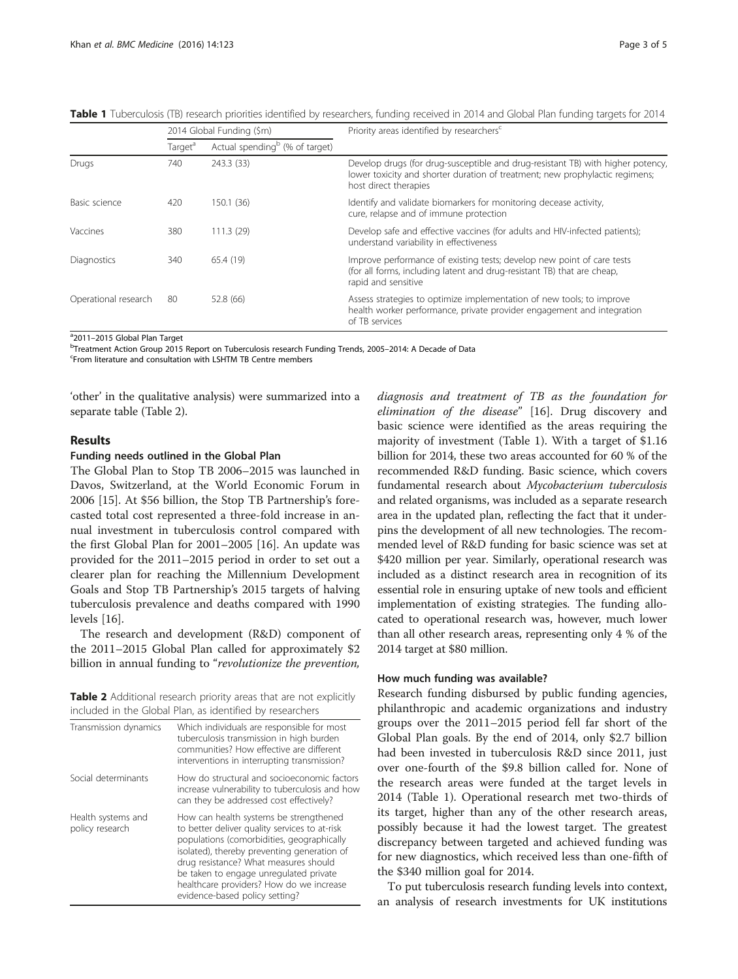<span id="page-2-0"></span>

| Table 1 Tuberculosis (TB) research priorities identified by researchers, funding received in 2014 and Global Plan funding targets for 2014 |  |
|--------------------------------------------------------------------------------------------------------------------------------------------|--|
|--------------------------------------------------------------------------------------------------------------------------------------------|--|

|                      | 2014 Global Funding (\$m) |                                            | Priority areas identified by researchers <sup>c</sup>                                                                                                                                    |
|----------------------|---------------------------|--------------------------------------------|------------------------------------------------------------------------------------------------------------------------------------------------------------------------------------------|
|                      | Target <sup>a</sup>       | Actual spending <sup>b</sup> (% of target) |                                                                                                                                                                                          |
| Drugs                | 740                       | 243.3 (33)                                 | Develop drugs (for drug-susceptible and drug-resistant TB) with higher potency,<br>lower toxicity and shorter duration of treatment; new prophylactic regimens;<br>host direct therapies |
| Basic science        | 420                       | 150.1 (36)                                 | Identify and validate biomarkers for monitoring decease activity,<br>cure, relapse and of immune protection                                                                              |
| Vaccines             | 380                       | 111.3(29)                                  | Develop safe and effective vaccines (for adults and HIV-infected patients);<br>understand variability in effectiveness                                                                   |
| Diagnostics          | 340                       | 65.4 (19)                                  | Improve performance of existing tests; develop new point of care tests<br>(for all forms, including latent and drug-resistant TB) that are cheap,<br>rapid and sensitive                 |
| Operational research | 80                        | 52.8 (66)                                  | Assess strategies to optimize implementation of new tools; to improve<br>health worker performance, private provider engagement and integration<br>of TB services                        |

<sup>a</sup> 2011–2015 Global Plan Target<br><sup>b</sup> Treatment Action Group 2015

<sup>b</sup>Treatment Action Group 2015 Report on Tuberculosis research Funding Trends, 2005–2014: A Decade of Data

From literature and consultation with LSHTM TB Centre members

'other' in the qualitative analysis) were summarized into a separate table (Table 2).

## Results

#### Funding needs outlined in the Global Plan

The Global Plan to Stop TB 2006–2015 was launched in Davos, Switzerland, at the World Economic Forum in 2006 [[15](#page-4-0)]. At \$56 billion, the Stop TB Partnership's forecasted total cost represented a three-fold increase in annual investment in tuberculosis control compared with the first Global Plan for 2001–2005 [\[16](#page-4-0)]. An update was provided for the 2011–2015 period in order to set out a clearer plan for reaching the Millennium Development Goals and Stop TB Partnership's 2015 targets of halving tuberculosis prevalence and deaths compared with 1990 levels [\[16\]](#page-4-0).

The research and development (R&D) component of the 2011–2015 Global Plan called for approximately \$2 billion in annual funding to "revolutionize the prevention,

Table 2 Additional research priority areas that are not explicitly included in the Global Plan, as identified by researchers

| Transmission dynamics                 | Which individuals are responsible for most<br>tuberculosis transmission in high burden<br>communities? How effective are different<br>interventions in interrupting transmission?                                                                                                                                                                     |
|---------------------------------------|-------------------------------------------------------------------------------------------------------------------------------------------------------------------------------------------------------------------------------------------------------------------------------------------------------------------------------------------------------|
| Social determinants                   | How do structural and socioeconomic factors<br>increase vulnerability to tuberculosis and how<br>can they be addressed cost effectively?                                                                                                                                                                                                              |
| Health systems and<br>policy research | How can health systems be strengthened<br>to better deliver quality services to at-risk<br>populations (comorbidities, geographically<br>isolated), thereby preventing generation of<br>drug resistance? What measures should<br>be taken to engage unregulated private<br>healthcare providers? How do we increase<br>evidence-based policy setting? |

diagnosis and treatment of TB as the foundation for elimination of the disease" [\[16\]](#page-4-0). Drug discovery and basic science were identified as the areas requiring the majority of investment (Table 1). With a target of \$1.16 billion for 2014, these two areas accounted for 60 % of the recommended R&D funding. Basic science, which covers fundamental research about Mycobacterium tuberculosis and related organisms, was included as a separate research area in the updated plan, reflecting the fact that it underpins the development of all new technologies. The recommended level of R&D funding for basic science was set at \$420 million per year. Similarly, operational research was included as a distinct research area in recognition of its essential role in ensuring uptake of new tools and efficient implementation of existing strategies. The funding allocated to operational research was, however, much lower than all other research areas, representing only 4 % of the 2014 target at \$80 million.

## How much funding was available?

Research funding disbursed by public funding agencies, philanthropic and academic organizations and industry groups over the 2011–2015 period fell far short of the Global Plan goals. By the end of 2014, only \$2.7 billion had been invested in tuberculosis R&D since 2011, just over one-fourth of the \$9.8 billion called for. None of the research areas were funded at the target levels in 2014 (Table 1). Operational research met two-thirds of its target, higher than any of the other research areas, possibly because it had the lowest target. The greatest discrepancy between targeted and achieved funding was for new diagnostics, which received less than one-fifth of the \$340 million goal for 2014.

To put tuberculosis research funding levels into context, an analysis of research investments for UK institutions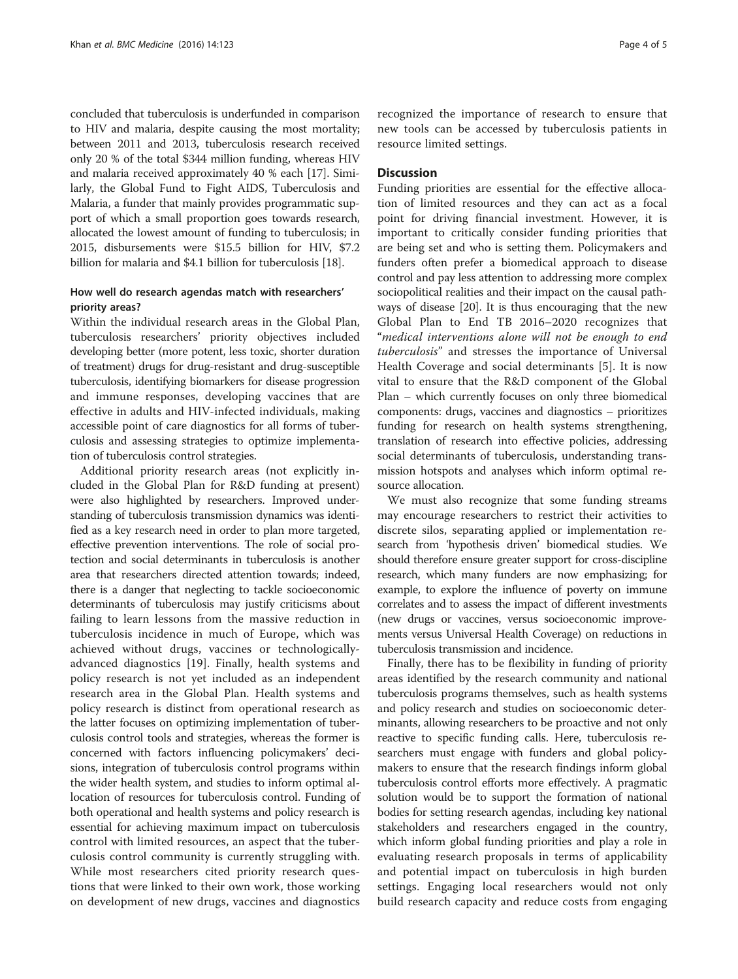concluded that tuberculosis is underfunded in comparison to HIV and malaria, despite causing the most mortality; between 2011 and 2013, tuberculosis research received only 20 % of the total \$344 million funding, whereas HIV and malaria received approximately 40 % each [\[17\]](#page-4-0). Similarly, the Global Fund to Fight AIDS, Tuberculosis and Malaria, a funder that mainly provides programmatic support of which a small proportion goes towards research, allocated the lowest amount of funding to tuberculosis; in 2015, disbursements were \$15.5 billion for HIV, \$7.2 billion for malaria and \$4.1 billion for tuberculosis [\[18\]](#page-4-0).

## How well do research agendas match with researchers' priority areas?

Within the individual research areas in the Global Plan, tuberculosis researchers' priority objectives included developing better (more potent, less toxic, shorter duration of treatment) drugs for drug-resistant and drug-susceptible tuberculosis, identifying biomarkers for disease progression and immune responses, developing vaccines that are effective in adults and HIV-infected individuals, making accessible point of care diagnostics for all forms of tuberculosis and assessing strategies to optimize implementation of tuberculosis control strategies.

Additional priority research areas (not explicitly included in the Global Plan for R&D funding at present) were also highlighted by researchers. Improved understanding of tuberculosis transmission dynamics was identified as a key research need in order to plan more targeted, effective prevention interventions. The role of social protection and social determinants in tuberculosis is another area that researchers directed attention towards; indeed, there is a danger that neglecting to tackle socioeconomic determinants of tuberculosis may justify criticisms about failing to learn lessons from the massive reduction in tuberculosis incidence in much of Europe, which was achieved without drugs, vaccines or technologicallyadvanced diagnostics [[19\]](#page-4-0). Finally, health systems and policy research is not yet included as an independent research area in the Global Plan. Health systems and policy research is distinct from operational research as the latter focuses on optimizing implementation of tuberculosis control tools and strategies, whereas the former is concerned with factors influencing policymakers' decisions, integration of tuberculosis control programs within the wider health system, and studies to inform optimal allocation of resources for tuberculosis control. Funding of both operational and health systems and policy research is essential for achieving maximum impact on tuberculosis control with limited resources, an aspect that the tuberculosis control community is currently struggling with. While most researchers cited priority research questions that were linked to their own work, those working on development of new drugs, vaccines and diagnostics

recognized the importance of research to ensure that new tools can be accessed by tuberculosis patients in resource limited settings.

## **Discussion**

Funding priorities are essential for the effective allocation of limited resources and they can act as a focal point for driving financial investment. However, it is important to critically consider funding priorities that are being set and who is setting them. Policymakers and funders often prefer a biomedical approach to disease control and pay less attention to addressing more complex sociopolitical realities and their impact on the causal pathways of disease [\[20\]](#page-4-0). It is thus encouraging that the new Global Plan to End TB 2016–2020 recognizes that "medical interventions alone will not be enough to end tuberculosis" and stresses the importance of Universal Health Coverage and social determinants [\[5](#page-4-0)]. It is now vital to ensure that the R&D component of the Global Plan – which currently focuses on only three biomedical components: drugs, vaccines and diagnostics – prioritizes funding for research on health systems strengthening, translation of research into effective policies, addressing social determinants of tuberculosis, understanding transmission hotspots and analyses which inform optimal resource allocation.

We must also recognize that some funding streams may encourage researchers to restrict their activities to discrete silos, separating applied or implementation research from 'hypothesis driven' biomedical studies. We should therefore ensure greater support for cross-discipline research, which many funders are now emphasizing; for example, to explore the influence of poverty on immune correlates and to assess the impact of different investments (new drugs or vaccines, versus socioeconomic improvements versus Universal Health Coverage) on reductions in tuberculosis transmission and incidence.

Finally, there has to be flexibility in funding of priority areas identified by the research community and national tuberculosis programs themselves, such as health systems and policy research and studies on socioeconomic determinants, allowing researchers to be proactive and not only reactive to specific funding calls. Here, tuberculosis researchers must engage with funders and global policymakers to ensure that the research findings inform global tuberculosis control efforts more effectively. A pragmatic solution would be to support the formation of national bodies for setting research agendas, including key national stakeholders and researchers engaged in the country, which inform global funding priorities and play a role in evaluating research proposals in terms of applicability and potential impact on tuberculosis in high burden settings. Engaging local researchers would not only build research capacity and reduce costs from engaging